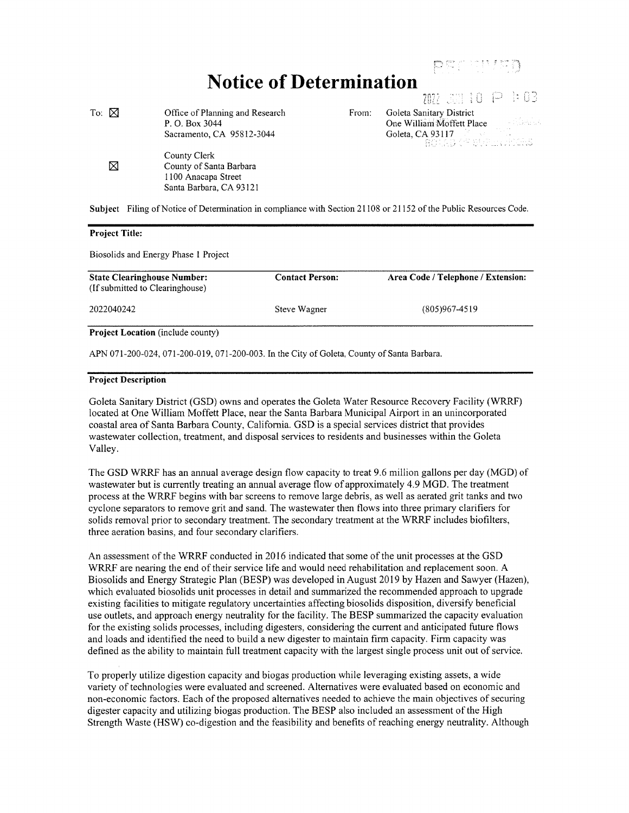## Notice of Determination<br>  $\eta_{\text{R2}}$

| To: $\boxtimes$ | Office of Planning and Research                                | From: | Goleta Sanitary District           |
|-----------------|----------------------------------------------------------------|-------|------------------------------------|
|                 | P. O. Box 3044                                                 |       | One William Moffett Place          |
|                 | Sacramento, CA 95812-3044                                      |       | Goleta, CA 93117 <b>Collection</b> |
| ⊠               | County Clerk<br>County of Santa Barbara<br>1100 Anacapa Street |       |                                    |
|                 | Santa Barbara, CA 93121                                        |       |                                    |
|                 |                                                                |       |                                    |

Subject Filing of Notice of Determination in compliance with Section 21108 or 21152 of the Public Resources Code.

## Project Title:

Biosolids and Energy Phase 1 Project

| <b>State Clearinghouse Number:</b><br>(If submitted to Clearinghouse) | <b>Contact Person:</b> | Area Code / Telephone / Extension: |
|-----------------------------------------------------------------------|------------------------|------------------------------------|
| 2022040242                                                            | Steve Wagner           | $(805)967-4519$                    |
| <b>Project Location</b> (include county)                              |                        |                                    |

APN 071-200-024, 071-200-019, 071-200-003. In the City of Goleta, County of Santa Barbara.

## Project Description

Goleta Sanitary District (GSD) owns and operates the Goleta Water Resource Recovery Facility (WRRF) located at One William Moffett Place, near the Santa Barbara Municipal Airport in an unincorporated coastal area of Santa Barbara County, California. GSD is a special services district that provides wastewater collection, treatment, and disposal services to residents and businesses within the Goleta Valley.

The GSD WRRF has an annual average design flow capacity to treat 9.6 million gallons per day (MGD) of wastewater but is currently treating an annual average flow of approximately 4.9 MGD. The treatment process at the WRRF begins with bar screens to remove large debris, as well as aerated grit tanks and two cyclone separators to remove grit and sand. The wastewater then flows into three primary clarifiers for solids removal prior to secondary treatment. The secondary treatment at the WRRF includes biofilters, three aeration basins, and four secondary clarifiers.

An assessment of the WRRF conducted in 2016 indicated that some of the unit processes at the GSD WRRF are nearing the end of their service life and would need rehabilitation and replacement soon. A Biosolids and Energy Strategic Plan (BESP) was developed in August 2019 by Hazen and Sawyer (Hazen), which evaluated biosolids unit processes in detail and summarized the recommended approach to upgrade existing facilities to mitigate regulatory uncertainties affecting biosolids disposition, diversify beneficial use outlets, and approach energy neutrality for the facility. The BESP summarized the capacity evaluation for the existing solids processes, including digesters, considering the current and anticipated future flows and loads and identified the need to build a new digester to maintain firm capacity. Firm capacity was defined as the ability to maintain full treatment capacity with the largest single process unit out of service.

To properly utilize digestion capacity and biogas production while leveraging existing assets, a wide variety of technologies were evaluated and screened. Alternatives were evaluated based on economic and non-economic factors. Each of the proposed alternatives needed to achieve the main objectives of securing digester capacity and utilizing biogas production. The BESP also included an assessment of the High Strength Waste (HSW) co-digestion and the feasibility and benefits of reaching energy neutrality. Although